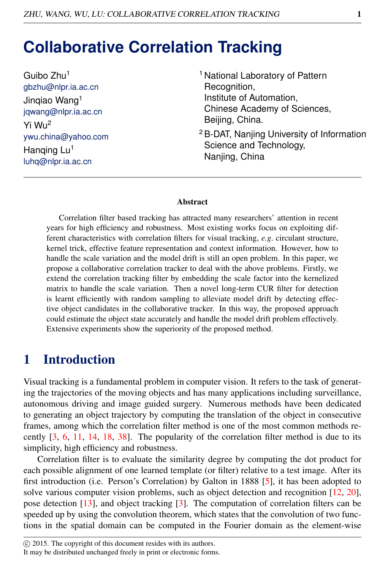# **Collaborative Correlation Tracking**

Guibo Zhu<sup>1</sup> gbzhu@nlpr.ia.ac.cn Jinqiao Wang<sup>1</sup> jqwang@nlpr.ia.ac.cn Yi Wu<sup>2</sup> ywu.china@yahoo.com Hanging Lu<sup>1</sup> luhq@nlpr.ia.ac.cn

- <sup>1</sup> National Laboratory of Pattern Recognition, Institute of Automation, Chinese Academy of Sciences, Beijing, China.
- <sup>2</sup>B-DAT, Nanjing University of Information Science and Technology, Nanjing, China

#### Abstract

Correlation filter based tracking has attracted many researchers' attention in recent years for high efficiency and robustness. Most existing works focus on exploiting different characteristics with correlation filters for visual tracking, *e.g*. circulant structure, kernel trick, effective feature representation and context information. However, how to handle the scale variation and the model drift is still an open problem. In this paper, we propose a collaborative correlation tracker to deal with the above problems. Firstly, we extend the correlation tracking filter by embedding the scale factor into the kernelized matrix to handle the scale variation. Then a novel long-term CUR filter for detection is learnt efficiently with random sampling to alleviate model drift by detecting effective object candidates in the collaborative tracker. In this way, the proposed approach could estimate the object state accurately and handle the model drift problem effectively. Extensive experiments show the superiority of the proposed method.

### 1 Introduction

Visual tracking is a fundamental problem in computer vision. It refers to the task of generating the trajectories of the moving objects and has many applications including surveillance, autonomous driving and image guided surgery. Numerous methods have been dedicated to generating an object trajectory by computing the translation of the object in consecutive frames, among which the correlation filter method is one of the most common methods recently [3, 6, 11, 14, 18, 38]. The popularity of the correlation filter method is due to its simplicity, high efficiency and robustness.

Correlation filter is to evaluate the similarity degree by computing the dot product for each possible alignment of one learned template (or filter) relative to a test image. After its first introduction (i.e. Person's Correlation) by Galton in 1888 [5], it has been adopted to solve various computer vision problems, such as object detection and recognition [12, 20], pose detection [13], and object tracking [3]. The computation of correlation filters can be speeded up by using the convolution theorem, which states that the convolution of two functions in the spatial domain can be computed in the Fourier domain as the element-wise

It may be distributed unchanged freely in print or electronic forms.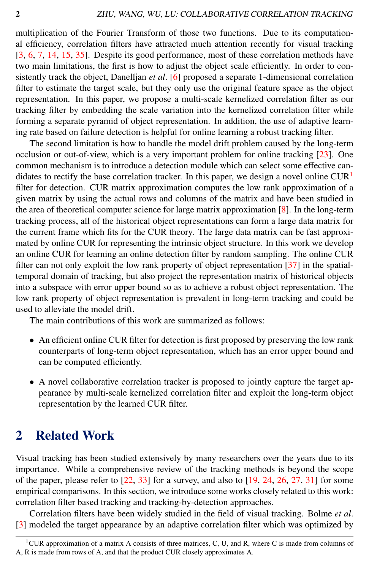multiplication of the Fourier Transform of those two functions. Due to its computational efficiency, correlation filters have attracted much attention recently for visual tracking [3, 6, 7, 14, 15, 35]. Despite its good performance, most of these correlation methods have two main limitations, the first is how to adjust the object scale efficiently. In order to consistently track the object, Danelljan *et al*. [6] proposed a separate 1-dimensional correlation filter to estimate the target scale, but they only use the original feature space as the object representation. In this paper, we propose a multi-scale kernelized correlation filter as our tracking filter by embedding the scale variation into the kernelized correlation filter while forming a separate pyramid of object representation. In addition, the use of adaptive learning rate based on failure detection is helpful for online learning a robust tracking filter.

The second limitation is how to handle the model drift problem caused by the long-term occlusion or out-of-view, which is a very important problem for online tracking [23]. One common mechanism is to introduce a detection module which can select some effective candidates to rectify the base correlation tracker. In this paper, we design a novel online  $\text{CUR}^1$ filter for detection. CUR matrix approximation computes the low rank approximation of a given matrix by using the actual rows and columns of the matrix and have been studied in the area of theoretical computer science for large matrix approximation [8]. In the long-term tracking process, all of the historical object representations can form a large data matrix for the current frame which fits for the CUR theory. The large data matrix can be fast approximated by online CUR for representing the intrinsic object structure. In this work we develop an online CUR for learning an online detection filter by random sampling. The online CUR filter can not only exploit the low rank property of object representation [37] in the spatialtemporal domain of tracking, but also project the representation matrix of historical objects into a subspace with error upper bound so as to achieve a robust object representation. The low rank property of object representation is prevalent in long-term tracking and could be used to alleviate the model drift.

The main contributions of this work are summarized as follows:

- An efficient online CUR filter for detection is first proposed by preserving the low rank counterparts of long-term object representation, which has an error upper bound and can be computed efficiently.
- A novel collaborative correlation tracker is proposed to jointly capture the target appearance by multi-scale kernelized correlation filter and exploit the long-term object representation by the learned CUR filter.

## 2 Related Work

Visual tracking has been studied extensively by many researchers over the years due to its importance. While a comprehensive review of the tracking methods is beyond the scope of the paper, please refer to  $[22, 33]$  for a survey, and also to  $[19, 24, 26, 27, 31]$  for some empirical comparisons. In this section, we introduce some works closely related to this work: correlation filter based tracking and tracking-by-detection approaches.

Correlation filters have been widely studied in the field of visual tracking. Bolme *et al*. [3] modeled the target appearance by an adaptive correlation filter which was optimized by

<sup>&</sup>lt;sup>1</sup>CUR approximation of a matrix A consists of three matrices, C, U, and R, where C is made from columns of A, R is made from rows of A, and that the product CUR closely approximates A.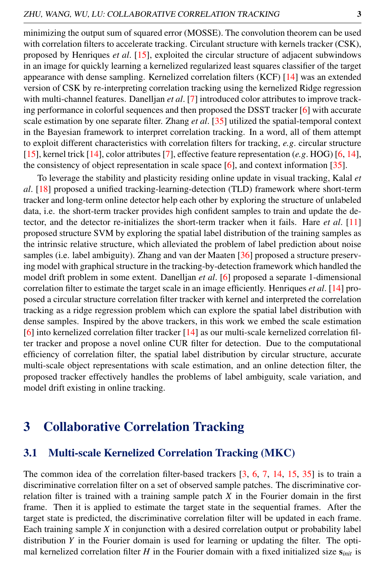minimizing the output sum of squared error (MOSSE). The convolution theorem can be used with correlation filters to accelerate tracking. Circulant structure with kernels tracker (CSK), proposed by Henriques *et al*. [15], exploited the circular structure of adjacent subwindows in an image for quickly learning a kernelized regularized least squares classifier of the target appearance with dense sampling. Kernelized correlation filters (KCF) [14] was an extended version of CSK by re-interpreting correlation tracking using the kernelized Ridge regression with multi-channel features. Danelljan *et al*. [7] introduced color attributes to improve tracking performance in colorful sequences and then proposed the DSST tracker [6] with accurate scale estimation by one separate filter. Zhang *et al*. [35] utilized the spatial-temporal context in the Bayesian framework to interpret correlation tracking. In a word, all of them attempt to exploit different characteristics with correlation filters for tracking, *e.g*. circular structure [15], kernel trick [14], color attributes [7], effective feature representation (*e.g*. HOG) [6, 14], the consistency of object representation in scale space  $[6]$ , and context information  $[35]$ .

To leverage the stability and plasticity residing online update in visual tracking, Kalal *et al*. [18] proposed a unified tracking-learning-detection (TLD) framework where short-term tracker and long-term online detector help each other by exploring the structure of unlabeled data, i.e. the short-term tracker provides high confident samples to train and update the detector, and the detector re-initializes the short-term tracker when it fails. Hare *et al*. [11] proposed structure SVM by exploring the spatial label distribution of the training samples as the intrinsic relative structure, which alleviated the problem of label prediction about noise samples (i.e. label ambiguity). Zhang and van der Maaten [36] proposed a structure preserving model with graphical structure in the tracking-by-detection framework which handled the model drift problem in some extent. Danelljan *et al*. [6] proposed a separate 1-dimensional correlation filter to estimate the target scale in an image efficiently. Henriques *et al*. [14] proposed a circular structure correlation filter tracker with kernel and interpreted the correlation tracking as a ridge regression problem which can explore the spatial label distribution with dense samples. Inspired by the above trackers, in this work we embed the scale estimation [6] into kernelized correlation filter tracker [14] as our multi-scale kernelized correlation filter tracker and propose a novel online CUR filter for detection. Due to the computational efficiency of correlation filter, the spatial label distribution by circular structure, accurate multi-scale object representations with scale estimation, and an online detection filter, the proposed tracker effectively handles the problems of label ambiguity, scale variation, and model drift existing in online tracking.

### 3 Collaborative Correlation Tracking

#### 3.1 Multi-scale Kernelized Correlation Tracking (MKC)

The common idea of the correlation filter-based trackers [3, 6, 7, 14, 15, 35] is to train a discriminative correlation filter on a set of observed sample patches. The discriminative correlation filter is trained with a training sample patch *X* in the Fourier domain in the first frame. Then it is applied to estimate the target state in the sequential frames. After the target state is predicted, the discriminative correlation filter will be updated in each frame. Each training sample *X* in conjunction with a desired correlation output or probability label distribution *Y* in the Fourier domain is used for learning or updating the filter. The optimal kernelized correlation filter *H* in the Fourier domain with a fixed initialized size  $s_{init}$  is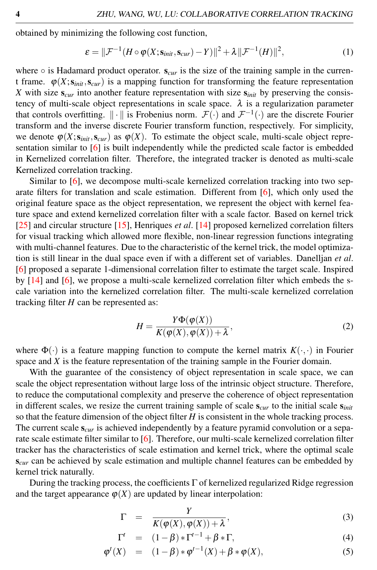obtained by minimizing the following cost function,

$$
\varepsilon = \|\mathcal{F}^{-1}(H \circ \varphi(X; \mathbf{s}_{\text{init}}, \mathbf{s}_{\text{cur}}) - Y)\|^2 + \lambda \|\mathcal{F}^{-1}(H)\|^2, \tag{1}
$$

where  $\circ$  is Hadamard product operator.  $s_{cur}$  is the size of the training sample in the current frame.  $\varphi(X; s_{init}, s_{cur})$  is a mapping function for transforming the feature representation *X* with size  $s_{cur}$  into another feature representation with size  $s_{init}$  by preserving the consistency of multi-scale object representations in scale space.  $\lambda$  is a regularization parameter that controls overfitting.  $\|\cdot\|$  is Frobenius norm.  $\mathcal{F}(\cdot)$  and  $\mathcal{F}^{-1}(\cdot)$  are the discrete Fourier transform and the inverse discrete Fourier transform function, respectively. For simplicity, we denote  $\varphi(X; s_{init}, s_{cur})$  as  $\varphi(X)$ . To estimate the object scale, multi-scale object representation similar to [6] is built independently while the predicted scale factor is embedded in Kernelized correlation filter. Therefore, the integrated tracker is denoted as multi-scale Kernelized correlation tracking.

Similar to [6], we decompose multi-scale kernelized correlation tracking into two separate filters for translation and scale estimation. Different from [6], which only used the original feature space as the object representation, we represent the object with kernel feature space and extend kernelized correlation filter with a scale factor. Based on kernel trick [25] and circular structure [15], Henriques *et al*. [14] proposed kernelized correlation filters for visual tracking which allowed more flexible, non-linear regression functions integrating with multi-channel features. Due to the characteristic of the kernel trick, the model optimization is still linear in the dual space even if with a different set of variables. Danelljan *et al*. [6] proposed a separate 1-dimensional correlation filter to estimate the target scale. Inspired by  $[14]$  and  $[6]$ , we propose a multi-scale kernelized correlation filter which embeds the scale variation into the kernelized correlation filter. The multi-scale kernelized correlation tracking filter *H* can be represented as:

$$
H = \frac{Y\Phi(\varphi(X))}{K(\varphi(X), \varphi(X)) + \lambda},
$$
\n(2)

where  $\Phi(\cdot)$  is a feature mapping function to compute the kernel matrix  $K(\cdot, \cdot)$  in Fourier space and *X* is the feature representation of the training sample in the Fourier domain.

With the guarantee of the consistency of object representation in scale space, we can scale the object representation without large loss of the intrinsic object structure. Therefore, to reduce the computational complexity and preserve the coherence of object representation in different scales, we resize the current training sample of scale  $s_{cur}$  to the initial scale  $s_{init}$ so that the feature dimension of the object filter *H* is consistent in the whole tracking process. The current scale  $s_{cur}$  is achieved independently by a feature pyramid convolution or a separate scale estimate filter similar to [6]. Therefore, our multi-scale kernelized correlation filter tracker has the characteristics of scale estimation and kernel trick, where the optimal scale  $s<sub>cur</sub>$  can be achieved by scale estimation and multiple channel features can be embedded by kernel trick naturally.

During the tracking process, the coefficients  $\Gamma$  of kernelized regularized Ridge regression and the target appearance  $\varphi(X)$  are updated by linear interpolation:

$$
\Gamma = \frac{Y}{K(\varphi(X), \varphi(X)) + \lambda},\tag{3}
$$

$$
\Gamma^t = (1 - \beta) * \Gamma^{t-1} + \beta * \Gamma, \tag{4}
$$

$$
\varphi^t(X) = (1 - \beta) * \varphi^{t-1}(X) + \beta * \varphi(X), \tag{5}
$$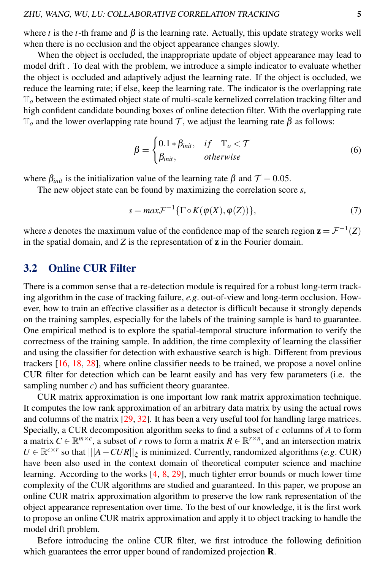where *t* is the *t*-th frame and  $\beta$  is the learning rate. Actually, this update strategy works well when there is no occlusion and the object appearance changes slowly.

When the object is occluded, the inappropriate update of object appearance may lead to model drift . To deal with the problem, we introduce a simple indicator to evaluate whether the object is occluded and adaptively adjust the learning rate. If the object is occluded, we reduce the learning rate; if else, keep the learning rate. The indicator is the overlapping rate  $\mathbb{T}_o$  between the estimated object state of multi-scale kernelized correlation tracking filter and high confident candidate bounding boxes of online detection filter. With the overlapping rate  $\mathbb{T}_o$  and the lower overlapping rate bound *T*, we adjust the learning rate β as follows:

$$
\beta = \begin{cases} 0.1 * \beta_{init}, & if \quad \mathbb{T}_o < \mathcal{T} \\ \beta_{init}, & otherwise \end{cases} \tag{6}
$$

where  $\beta_{init}$  is the initialization value of the learning rate  $\beta$  and  $\mathcal{T} = 0.05$ .

The new object state can be found by maximizing the correlation score *s*,

$$
s = \max \mathcal{F}^{-1} \{ \Gamma \circ K(\varphi(X), \varphi(Z)) \},\tag{7}
$$

where *s* denotes the maximum value of the confidence map of the search region  $\mathbf{z} = \mathcal{F}^{-1}(Z)$ in the spatial domain, and  $Z$  is the representation of  $z$  in the Fourier domain.

#### 3.2 Online CUR Filter

There is a common sense that a re-detection module is required for a robust long-term tracking algorithm in the case of tracking failure, *e.g*. out-of-view and long-term occlusion. However, how to train an effective classifier as a detector is difficult because it strongly depends on the training samples, especially for the labels of the training sample is hard to guarantee. One empirical method is to explore the spatial-temporal structure information to verify the correctness of the training sample. In addition, the time complexity of learning the classifier and using the classifier for detection with exhaustive search is high. Different from previous trackers [16, 18, 28], where online classifier needs to be trained, we propose a novel online CUR filter for detection which can be learnt easily and has very few parameters (i.e. the sampling number *c*) and has sufficient theory guarantee.

CUR matrix approximation is one important low rank matrix approximation technique. It computes the low rank approximation of an arbitrary data matrix by using the actual rows and columns of the matrix [29, 32]. It has been a very useful tool for handling large matrices. Specially, a CUR decomposition algorithm seeks to find a subset of *c* columns of *A* to form a matrix  $C \in \mathbb{R}^{m \times c}$ , a subset of *r* rows to form a matrix  $R \in \mathbb{R}^{r \times n}$ , and an intersection matrix  $U \in \mathbb{R}^{c \times r}$  so that  $|||A - CUR||_{\xi}$  is minimized. Currently, randomized algorithms (*e.g.* CUR) have been also used in the context domain of theoretical computer science and machine learning. According to the works [4, 8, 29], much tighter error bounds or much lower time complexity of the CUR algorithms are studied and guaranteed. In this paper, we propose an online CUR matrix approximation algorithm to preserve the low rank representation of the object appearance representation over time. To the best of our knowledge, it is the first work to propose an online CUR matrix approximation and apply it to object tracking to handle the model drift problem.

Before introducing the online CUR filter, we first introduce the following definition which guarantees the error upper bound of randomized projection **R**.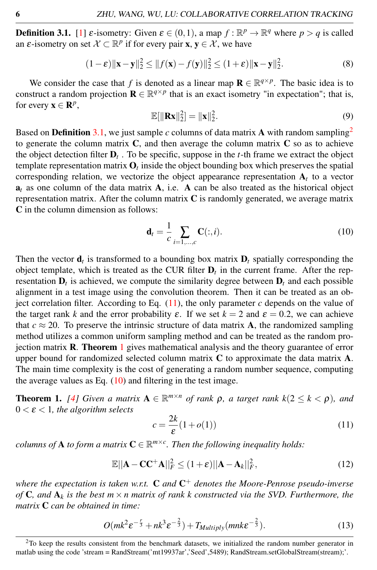**Definition 3.1.** [1]  $\varepsilon$ -isometry: Given  $\varepsilon \in (0,1)$ , a map  $f : \mathbb{R}^p \to \mathbb{R}^q$  where  $p > q$  is called an  $\varepsilon$ -isometry on set  $X \subset \mathbb{R}^p$  if for every pair **x**,  $y \in \mathcal{X}$ , we have

$$
(1 - \varepsilon) \|\mathbf{x} - \mathbf{y}\|_2^2 \le \|f(\mathbf{x}) - f(\mathbf{y})\|_2^2 \le (1 + \varepsilon) \|\mathbf{x} - \mathbf{y}\|_2^2.
$$
 (8)

We consider the case that *f* is denoted as a linear map  $\mathbf{R} \in \mathbb{R}^{q \times p}$ . The basic idea is to construct a random projection  $\mathbf{R} \in \mathbb{R}^{q \times p}$  that is an exact isometry "in expectation"; that is, for every  $\mathbf{x} \in \mathbb{R}^p$ ,

$$
\mathbb{E}[\|\mathbf{R}\mathbf{x}\|_2^2] = \|\mathbf{x}\|_2^2. \tag{9}
$$

Based on **Definition** 3.1, we just sample  $c$  columns of data matrix A with random sampling<sup>2</sup> to generate the column matrix  $C$ , and then average the column matrix  $C$  so as to achieve the object detection filter  $D_t$ . To be specific, suppose in the *t*-th frame we extract the object template representation matrix  $\mathbf{O}_t$  inside the object bounding box which preserves the spatial corresponding relation, we vectorize the object appearance representation  $A_t$  to a vector  $a_t$  as one column of the data matrix  $A$ , i.e.  $\overrightarrow{A}$  can be also treated as the historical object representation matrix. After the column matrix  $C$  is randomly generated, we average matrix C in the column dimension as follows:

$$
\mathbf{d}_{t} = \frac{1}{c} \sum_{i=1,...,c} \mathbf{C}(:,i). \tag{10}
$$

Then the vector  $\mathbf{d}_t$  is transformed to a bounding box matrix  $\mathbf{D}_t$  spatially corresponding the object template, which is treated as the CUR filter  $D_t$  in the current frame. After the representation  $D_t$  is achieved, we compute the similarity degree between  $D_t$  and each possible alignment in a test image using the convolution theorem. Then it can be treated as an object correlation filter. According to Eq.  $(11)$ , the only parameter *c* depends on the value of the target rank *k* and the error probability  $\varepsilon$ . If we set  $k = 2$  and  $\varepsilon = 0.2$ , we can achieve that  $c \approx 20$ . To preserve the intrinsic structure of data matrix **A**, the randomized sampling method utilizes a common uniform sampling method and can be treated as the random projection matrix R. Theorem 1 gives mathematical analysis and the theory guarantee of error upper bound for randomized selected column matrix C to approximate the data matrix A. The main time complexity is the cost of generating a random number sequence, computing the average values as Eq.  $(10)$  and filtering in the test image.

**Theorem 1.** [4] Given a matrix  $A \in \mathbb{R}^{m \times n}$  of rank  $\rho$ , a target rank  $k(2 \leq k < \rho)$ , and  $0 < \varepsilon < 1$ , the algorithm selects

$$
c = \frac{2k}{\varepsilon}(1 + o(1))\tag{11}
$$

*columns of* **A** *to form a matrix*  $C \in \mathbb{R}^{m \times c}$ . Then the following inequality holds:

$$
\mathbb{E}||\mathbf{A} - \mathbf{C}\mathbf{C}^{+}\mathbf{A}||_{F}^{2} \leq (1+\varepsilon)||\mathbf{A} - \mathbf{A}_{k}||_{F}^{2},\tag{12}
$$

*where the expectation is taken w.r.t.* C *and* C <sup>+</sup> *denotes the Moore-Penrose pseudo-inverse of* C*, and* A*<sup>k</sup> is the best m × n matrix of rank k constructed via the SVD. Furthermore, the matrix* C *can be obtained in time:*

$$
O(mk^2 \varepsilon^{-\frac{r}{3}} + nk^3 \varepsilon^{-\frac{2}{3}}) + T_{Multiply}(mnk\varepsilon^{-\frac{2}{3}}).
$$
 (13)

 $2$ To keep the results consistent from the benchmark datasets, we initialized the random number generator in matlab using the code 'stream = RandStream('mt19937ar','Seed',5489); RandStream.setGlobalStream(stream);'.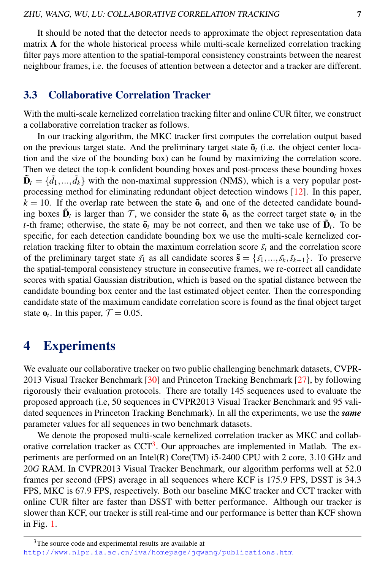It should be noted that the detector needs to approximate the object representation data matrix A for the whole historical process while multi-scale kernelized correlation tracking filter pays more attention to the spatial-temporal consistency constraints between the nearest neighbour frames, i.e. the focuses of attention between a detector and a tracker are different.

#### 3.3 Collaborative Correlation Tracker

With the multi-scale kernelized correlation tracking filter and online CUR filter, we construct a collaborative correlation tracker as follows.

In our tracking algorithm, the MKC tracker first computes the correlation output based on the previous target state. And the preliminary target state  $\tilde{\mathbf{o}}_t$  (i.e. the object center location and the size of the bounding box) can be found by maximizing the correlation score. Then we detect the top-k confident bounding boxes and post-process these bounding boxes  $\tilde{\mathbf{D}}_t = \{\tilde{d}_1, ..., \tilde{d}_k\}$  with the non-maximal suppression (NMS), which is a very popular postprocessing method for eliminating redundant object detection windows [12]. In this paper,  $k = 10$ . If the overlap rate between the state  $\tilde{\mathbf{o}}_t$  and one of the detected candidate bounding boxes  $\tilde{\mathbf{D}}_t$  is larger than  $\mathcal{T}$ , we consider the state  $\tilde{\mathbf{o}}_t$  as the correct target state  $\mathbf{o}_t$  in the *t*-th frame; otherwise, the state  $\tilde{\mathbf{o}}_t$  may be not correct, and then we take use of  $\tilde{\mathbf{D}}_t$ . To be specific, for each detection candidate bounding box we use the multi-scale kernelized correlation tracking filter to obtain the maximum correlation score  $\tilde{s_i}$  and the correlation score of the preliminary target state  $\tilde{s}_1$  as all candidate scores  $\tilde{\mathbf{s}} = {\{\tilde{s}_1, ..., \tilde{s}_k, \tilde{s}_{k+1}\}}$ . To preserve the spatial-temporal consistency structure in consecutive frames, we re-correct all candidate scores with spatial Gaussian distribution, which is based on the spatial distance between the candidate bounding box center and the last estimated object center. Then the corresponding candidate state of the maximum candidate correlation score is found as the final object target state  $\mathbf{o}_t$ . In this paper,  $\mathcal{T} = 0.05$ .

### 4 Experiments

We evaluate our collaborative tracker on two public challenging benchmark datasets, CVPR-2013 Visual Tracker Benchmark [30] and Princeton Tracking Benchmark [27], by following rigorously their evaluation protocols. There are totally 145 sequences used to evaluate the proposed approach (i.e, 50 sequences in CVPR2013 Visual Tracker Benchmark and 95 validated sequences in Princeton Tracking Benchmark). In all the experiments, we use the *same* parameter values for all sequences in two benchmark datasets.

We denote the proposed multi-scale kernelized correlation tracker as MKC and collaborative correlation tracker as  $CCT<sup>3</sup>$ . Our approaches are implemented in Matlab. The experiments are performed on an Intel(R) Core(TM) i5-2400 CPU with 2 core, 3*.*10 GHz and 20*G* RAM. In CVPR2013 Visual Tracker Benchmark, our algorithm performs well at 52*.*0 frames per second (FPS) average in all sequences where KCF is 175*.*9 FPS, DSST is 34*.*3 FPS, MKC is 67*.*9 FPS, respectively. Both our baseline MKC tracker and CCT tracker with online CUR filter are faster than DSST with better performance. Although our tracker is slower than KCF, our tracker is still real-time and our performance is better than KCF shown in Fig. 1.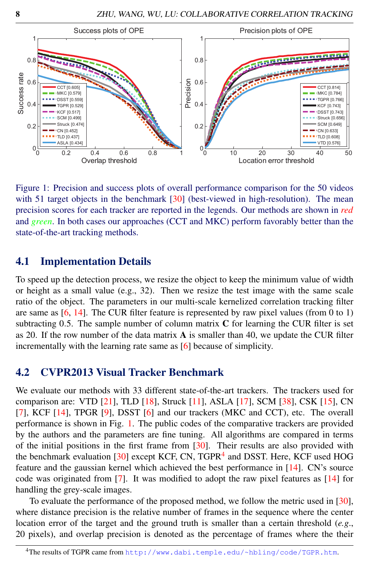

Figure 1: Precision and success plots of overall performance comparison for the 50 videos with 51 target objects in the benchmark [30] (best-viewed in high-resolution). The mean precision scores for each tracker are reported in the legends. Our methods are shown in *red* and *green*. In both cases our approaches (CCT and MKC) perform favorably better than the state-of-the-art tracking methods.

#### 4.1 Implementation Details

To speed up the detection process, we resize the object to keep the minimum value of width or height as a small value (e.g., 32). Then we resize the test image with the same scale ratio of the object. The parameters in our multi-scale kernelized correlation tracking filter are same as  $[6, 14]$ . The CUR filter feature is represented by raw pixel values (from 0 to 1) subtracting 0*.*5. The sample number of column matrix C for learning the CUR filter is set as 20. If the row number of the data matrix  $\bf{A}$  is smaller than 40, we update the CUR filter incrementally with the learning rate same as [6] because of simplicity.

#### 4.2 CVPR2013 Visual Tracker Benchmark

We evaluate our methods with 33 different state-of-the-art trackers. The trackers used for comparison are: VTD [21], TLD [18], Struck [11], ASLA [17], SCM [38], CSK [15], CN [7], KCF [14], TPGR [9], DSST [6] and our trackers (MKC and CCT), etc. The overall performance is shown in Fig. 1. The public codes of the comparative trackers are provided by the authors and the parameters are fine tuning. All algorithms are compared in terms of the initial positions in the first frame from  $[30]$ . Their results are also provided with the benchmark evaluation [30] except KCF, CN, TGPR<sup>4</sup> and DSST. Here, KCF used HOG feature and the gaussian kernel which achieved the best performance in [14]. CN's source code was originated from [7]. It was modified to adopt the raw pixel features as [14] for handling the grey-scale images.

To evaluate the performance of the proposed method, we follow the metric used in [30], where distance precision is the relative number of frames in the sequence where the center location error of the target and the ground truth is smaller than a certain threshold (*e.g*., 20 pixels), and overlap precision is denoted as the percentage of frames where the their

<sup>4</sup>The results of TGPR came from http://www.dabi.temple.edu/~hbling/code/TGPR.htm.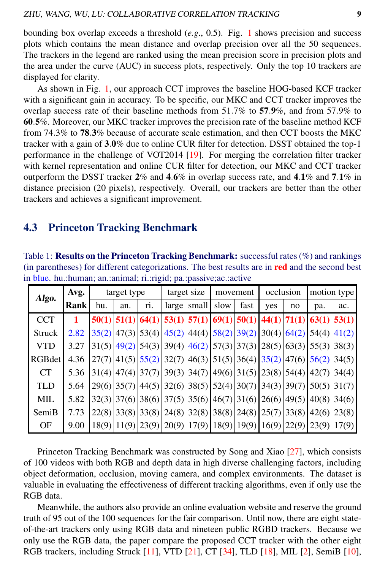bounding box overlap exceeds a threshold (*e.g*., 0.5). Fig. 1 shows precision and success plots which contains the mean distance and overlap precision over all the 50 sequences. The trackers in the legend are ranked using the mean precision score in precision plots and the area under the curve (AUC) in success plots, respectively. Only the top 10 trackers are displayed for clarity.

As shown in Fig. 1, our approach CCT improves the baseline HOG-based KCF tracker with a significant gain in accuracy. To be specific, our MKC and CCT tracker improves the overlap success rate of their baseline methods from 51*.*7% to 57*.*9%, and from 57*.*9% to 60*.*5%. Moreover, our MKC tracker improves the precision rate of the baseline method KCF from 74*.*3% to 78*.*3% because of accurate scale estimation, and then CCT boosts the MKC tracker with a gain of 3*.*0% due to online CUR filter for detection. DSST obtained the top-1 performance in the challenge of VOT2014 [19]. For merging the correlation filter tracker with kernel representation and online CUR filter for detection, our MKC and CCT tracker outperform the DSST tracker 2% and 4*.*6% in overlap success rate, and 4*.*1% and 7*.*1% in distance precision (20 pixels), respectively. Overall, our trackers are better than the other trackers and achieves a significant improvement.

#### 4.3 Princeton Tracking Benchmark

Table 1: Results on the Princeton Tracking Benchmark: successful rates (%) and rankings (in parentheses) for different categorizations. The best results are in red and the second best in blue. hu.:human; an.:animal; ri.:rigid; pa.:passive;ac.:active

| Algo.         | Avg.        | target type |     |                            | target size  |       | movement                                                                        |      | occlusion                     |    | motion type |       |
|---------------|-------------|-------------|-----|----------------------------|--------------|-------|---------------------------------------------------------------------------------|------|-------------------------------|----|-------------|-------|
|               | <b>Rank</b> | hu.         | an. | ri.                        | $large \mid$ | small | slow                                                                            | fast | yes                           | no | pa.         | ac.   |
| <b>CCT</b>    |             |             |     | $50(1)$ 51(1) 64(1) 53(1)  |              |       | $57(1)$ 69(1) 50(1) 44(1) 71(1) 63(1)                                           |      |                               |    |             | 53(1) |
| <b>Struck</b> | 2.82        |             |     |                            |              |       | $35(2)$ 47(3) 53(4) 45(2) 44(4) 58(2) 39(2) 30(4) 64(2)                         |      |                               |    | 54(4)       | 41(2) |
| <b>VTD</b>    | 3.27        |             |     | 31(5)  49(2)  54(3)  39(4) |              |       | $46(2)$ 57(3) 37(3) 28(5) 63(3)                                                 |      |                               |    | 55(3)       | 38(3) |
| RGBdet        | 4.36        |             |     |                            |              |       | $27(7)$  41(5) 55(2) 32(7) 46(3) 51(5) 36(4) 35(2) 47(6) 56(2)                  |      |                               |    |             | 34(5) |
| <b>CT</b>     | 5.36        |             |     |                            |              |       | $31(4) 47(4) 37(7) 39(3) 34(7) 49(6) 31(5) 23(8) 54(4) $                        |      |                               |    | 42(7)       | 34(4) |
| <b>TLD</b>    | 5.64        |             |     |                            |              |       | $29(6)   35(7)   44(5)   32(6)   38(5)   52(4)   30(7)   34(3)   39(7)$         |      |                               |    | 50(5)       | 31(7) |
| MIL           | 5.82        |             |     |                            |              |       | $32(3)   37(6)   38(6)   37(5)   35(6)   46(7)   31(6)   26(6)   49(5)   40(8)$ |      |                               |    |             | 34(6) |
| SemiB         | 7.73        |             |     |                            |              |       | $22(8)$ 33(8) 33(8) $24(8)$ 32(8) 38(8) 24(8) 25(7) 33(8)                       |      |                               |    | 42(6)       | 23(8) |
| OF            | 9.00        | 18(9)       |     | 11(9) 23(9) 20(9)          |              | 17(9) |                                                                                 |      | 18(9)   19(9)   16(9)   22(9) |    | 23(9)       | 17(9) |

Princeton Tracking Benchmark was constructed by Song and Xiao [27], which consists of 100 videos with both RGB and depth data in high diverse challenging factors, including object deformation, occlusion, moving camera, and complex environments. The dataset is valuable in evaluating the effectiveness of different tracking algorithms, even if only use the RGB data.

Meanwhile, the authors also provide an online evaluation website and reserve the ground truth of 95 out of the 100 sequences for the fair comparison. Until now, there are eight stateof-the-art trackers only using RGB data and nineteen public RGBD trackers. Because we only use the RGB data, the paper compare the proposed CCT tracker with the other eight RGB trackers, including Struck [11], VTD [21], CT [34], TLD [18], MIL [2], SemiB [10],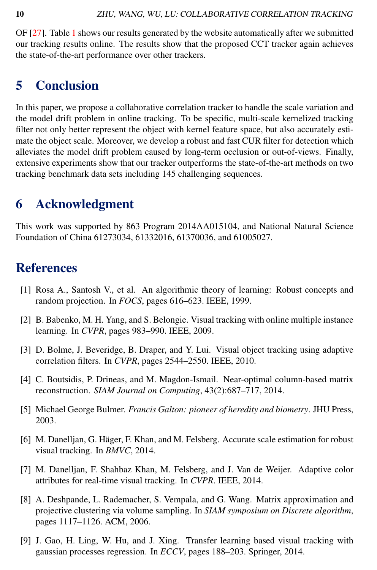OF [27]. Table 1 shows our results generated by the website automatically after we submitted our tracking results online. The results show that the proposed CCT tracker again achieves the state-of-the-art performance over other trackers.

### 5 Conclusion

In this paper, we propose a collaborative correlation tracker to handle the scale variation and the model drift problem in online tracking. To be specific, multi-scale kernelized tracking filter not only better represent the object with kernel feature space, but also accurately estimate the object scale. Moreover, we develop a robust and fast CUR filter for detection which alleviates the model drift problem caused by long-term occlusion or out-of-views. Finally, extensive experiments show that our tracker outperforms the state-of-the-art methods on two tracking benchmark data sets including 145 challenging sequences.

### 6 Acknowledgment

This work was supported by 863 Program 2014AA015104, and National Natural Science Foundation of China 61273034, 61332016, 61370036, and 61005027.

### References

- [1] Rosa A., Santosh V., et al. An algorithmic theory of learning: Robust concepts and random projection. In *FOCS*, pages 616–623. IEEE, 1999.
- [2] B. Babenko, M. H. Yang, and S. Belongie. Visual tracking with online multiple instance learning. In *CVPR*, pages 983–990. IEEE, 2009.
- [3] D. Bolme, J. Beveridge, B. Draper, and Y. Lui. Visual object tracking using adaptive correlation filters. In *CVPR*, pages 2544–2550. IEEE, 2010.
- [4] C. Boutsidis, P. Drineas, and M. Magdon-Ismail. Near-optimal column-based matrix reconstruction. *SIAM Journal on Computing*, 43(2):687–717, 2014.
- [5] Michael George Bulmer. *Francis Galton: pioneer of heredity and biometry*. JHU Press, 2003.
- [6] M. Danelljan, G. Häger, F. Khan, and M. Felsberg. Accurate scale estimation for robust visual tracking. In *BMVC*, 2014.
- [7] M. Danelljan, F. Shahbaz Khan, M. Felsberg, and J. Van de Weijer. Adaptive color attributes for real-time visual tracking. In *CVPR*. IEEE, 2014.
- [8] A. Deshpande, L. Rademacher, S. Vempala, and G. Wang. Matrix approximation and projective clustering via volume sampling. In *SIAM symposium on Discrete algorithm*, pages 1117–1126. ACM, 2006.
- [9] J. Gao, H. Ling, W. Hu, and J. Xing. Transfer learning based visual tracking with gaussian processes regression. In *ECCV*, pages 188–203. Springer, 2014.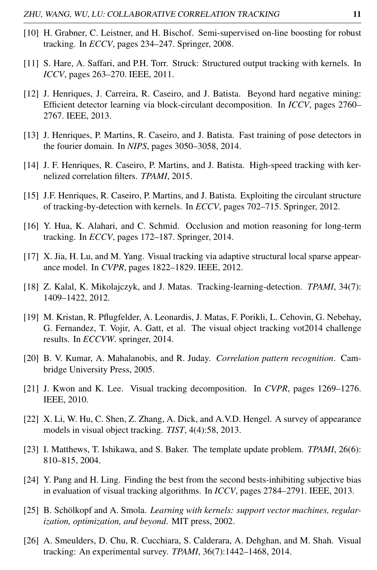- [10] H. Grabner, C. Leistner, and H. Bischof. Semi-supervised on-line boosting for robust tracking. In *ECCV*, pages 234–247. Springer, 2008.
- [11] S. Hare, A. Saffari, and P.H. Torr. Struck: Structured output tracking with kernels. In *ICCV*, pages 263–270. IEEE, 2011.
- [12] J. Henriques, J. Carreira, R. Caseiro, and J. Batista. Beyond hard negative mining: Efficient detector learning via block-circulant decomposition. In *ICCV*, pages 2760– 2767. IEEE, 2013.
- [13] J. Henriques, P. Martins, R. Caseiro, and J. Batista. Fast training of pose detectors in the fourier domain. In *NIPS*, pages 3050–3058, 2014.
- [14] J. F. Henriques, R. Caseiro, P. Martins, and J. Batista. High-speed tracking with kernelized correlation filters. *TPAMI*, 2015.
- [15] J.F. Henriques, R. Caseiro, P. Martins, and J. Batista. Exploiting the circulant structure of tracking-by-detection with kernels. In *ECCV*, pages 702–715. Springer, 2012.
- [16] Y. Hua, K. Alahari, and C. Schmid. Occlusion and motion reasoning for long-term tracking. In *ECCV*, pages 172–187. Springer, 2014.
- [17] X. Jia, H. Lu, and M. Yang. Visual tracking via adaptive structural local sparse appearance model. In *CVPR*, pages 1822–1829. IEEE, 2012.
- [18] Z. Kalal, K. Mikolajczyk, and J. Matas. Tracking-learning-detection. *TPAMI*, 34(7): 1409–1422, 2012.
- [19] M. Kristan, R. Pflugfelder, A. Leonardis, J. Matas, F. Porikli, L. Cehovin, G. Nebehay, G. Fernandez, T. Vojir, A. Gatt, et al. The visual object tracking vot2014 challenge results. In *ECCVW*. springer, 2014.
- [20] B. V. Kumar, A. Mahalanobis, and R. Juday. *Correlation pattern recognition*. Cambridge University Press, 2005.
- [21] J. Kwon and K. Lee. Visual tracking decomposition. In *CVPR*, pages 1269–1276. IEEE, 2010.
- [22] X. Li, W. Hu, C. Shen, Z. Zhang, A. Dick, and A.V.D. Hengel. A survey of appearance models in visual object tracking. *TIST*, 4(4):58, 2013.
- [23] I. Matthews, T. Ishikawa, and S. Baker. The template update problem. *TPAMI*, 26(6): 810–815, 2004.
- [24] Y. Pang and H. Ling. Finding the best from the second bests-inhibiting subjective bias in evaluation of visual tracking algorithms. In *ICCV*, pages 2784–2791. IEEE, 2013.
- [25] B. Schölkopf and A. Smola. *Learning with kernels: support vector machines, regularization, optimization, and beyond*. MIT press, 2002.
- [26] A. Smeulders, D. Chu, R. Cucchiara, S. Calderara, A. Dehghan, and M. Shah. Visual tracking: An experimental survey. *TPAMI*, 36(7):1442–1468, 2014.